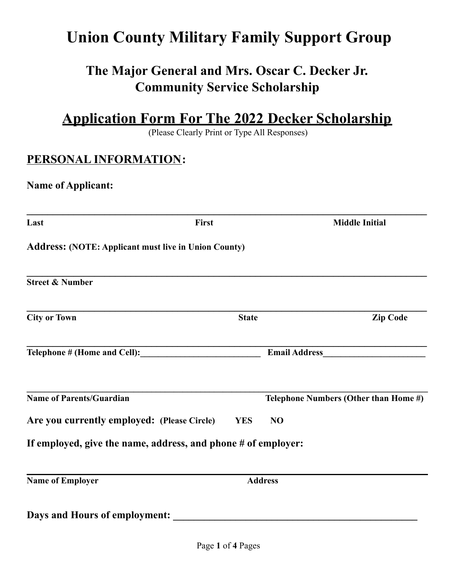# **Union County Military Family Support Group**

# **The Major General and Mrs. Oscar C. Decker Jr. Community Service Scholarship**

**Application Form For The 2022 Decker Scholarship**

(Please Clearly Print or Type All Responses)

## **PERSONAL INFORMATION:**

#### **Name of Applicant:**

| Last                                                          | First        |                | <b>Middle Initial</b>                 |
|---------------------------------------------------------------|--------------|----------------|---------------------------------------|
| <b>Address: (NOTE: Applicant must live in Union County)</b>   |              |                |                                       |
| <b>Street &amp; Number</b>                                    |              |                |                                       |
| <b>City or Town</b>                                           | <b>State</b> |                | <b>Zip Code</b>                       |
|                                                               |              |                |                                       |
| <b>Name of Parents/Guardian</b>                               |              |                | Telephone Numbers (Other than Home #) |
| Are you currently employed: (Please Circle)                   | <b>YES</b>   | NO             |                                       |
| If employed, give the name, address, and phone # of employer: |              |                |                                       |
| <b>Name of Employer</b>                                       |              | <b>Address</b> |                                       |
| Days and Hours of employment:                                 |              |                |                                       |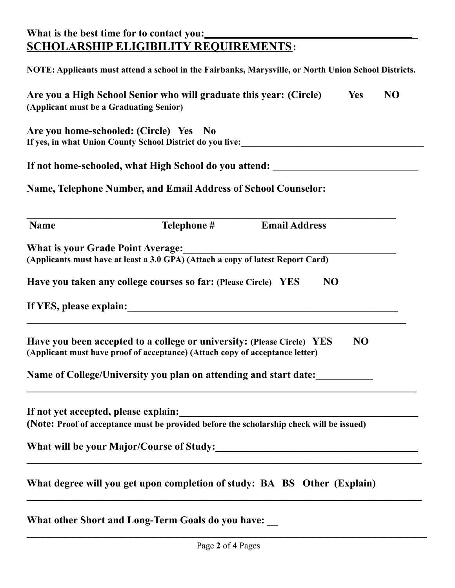### **What is the best time for to contact you:\_\_\_\_\_\_\_\_\_\_\_\_\_\_\_\_\_\_\_\_\_\_\_\_\_\_\_\_\_\_\_\_\_\_\_\_\_\_\_\_\_ SCHOLARSHIP ELIGIBILITY REQUIREMENTS:**

|                                          | NOTE: Applicants must attend a school in the Fairbanks, Marysville, or North Union School Districts.                                                     |                      |           |           |
|------------------------------------------|----------------------------------------------------------------------------------------------------------------------------------------------------------|----------------------|-----------|-----------|
| (Applicant must be a Graduating Senior)  | Are you a High School Senior who will graduate this year: (Circle)                                                                                       |                      | Yes       | <b>NO</b> |
|                                          | Are you home-schooled: (Circle) Yes No<br>If yes, in what Union County School District do you live:<br>1992. The Manuscript School District do you live: |                      |           |           |
|                                          | If not home-schooled, what High School do you attend: __________________________                                                                         |                      |           |           |
|                                          | Name, Telephone Number, and Email Address of School Counselor:                                                                                           |                      |           |           |
| <b>Name</b>                              | Telephone #                                                                                                                                              | <b>Email Address</b> |           |           |
| <b>What is your Grade Point Average:</b> | What is your Grade Point Average:<br>(Applicants must have at least a 3.0 GPA) (Attach a copy of latest Report Card)                                     |                      |           |           |
|                                          | Have you taken any college courses so far: (Please Circle) YES                                                                                           | NO                   |           |           |
|                                          |                                                                                                                                                          |                      |           |           |
|                                          | Have you been accepted to a college or university: (Please Circle) YES<br>(Applicant must have proof of acceptance) (Attach copy of acceptance letter)   |                      | <b>NO</b> |           |
|                                          | Name of College/University you plan on attending and start date:                                                                                         |                      |           |           |
| If not yet accepted, please explain:     | (Note: Proof of acceptance must be provided before the scholarship check will be issued)                                                                 |                      |           |           |
|                                          |                                                                                                                                                          |                      |           |           |
|                                          | What degree will you get upon completion of study: BA BS Other (Explain)                                                                                 |                      |           |           |
|                                          | What other Short and Long-Term Goals do you have:                                                                                                        |                      |           |           |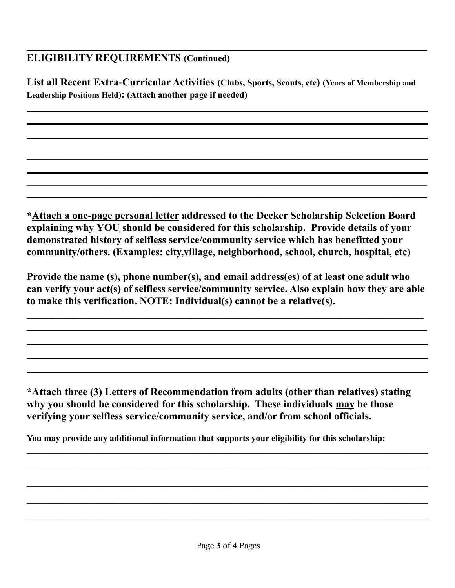### **ELIGIBILITY REQUIREMENTS (Continued)**

**List all Recent Extra-Curricular Activities (Clubs, Sports, Scouts, etc) (Years of Membership and Leadership Positions Held): (Attach another page if needed)**

 $\mathcal{L}_\mathcal{L} = \{ \mathcal{L}_\mathcal{L} = \{ \mathcal{L}_\mathcal{L} = \{ \mathcal{L}_\mathcal{L} = \{ \mathcal{L}_\mathcal{L} = \{ \mathcal{L}_\mathcal{L} = \{ \mathcal{L}_\mathcal{L} = \{ \mathcal{L}_\mathcal{L} = \{ \mathcal{L}_\mathcal{L} = \{ \mathcal{L}_\mathcal{L} = \{ \mathcal{L}_\mathcal{L} = \{ \mathcal{L}_\mathcal{L} = \{ \mathcal{L}_\mathcal{L} = \{ \mathcal{L}_\mathcal{L} = \{ \mathcal{L}_\mathcal{$ 

**\_\_\_\_\_\_\_\_\_\_\_\_\_\_\_\_\_\_\_\_\_\_\_\_\_\_\_\_\_\_\_\_\_\_\_\_\_\_\_\_\_\_\_\_\_\_\_\_\_\_\_\_\_\_\_\_\_\_\_\_\_\_\_\_\_\_\_\_\_\_\_\_\_\_\_\_\_ \_\_\_\_\_\_\_\_\_\_\_\_\_\_\_\_\_\_\_\_\_\_\_\_\_\_\_\_\_\_\_\_\_\_\_\_\_\_\_\_\_\_\_\_\_\_\_\_\_\_\_\_\_\_\_\_\_\_\_\_\_\_\_\_\_\_\_\_\_\_\_\_\_\_\_\_\_**

**\_\_\_\_\_\_\_\_\_\_\_\_\_\_\_\_\_\_\_\_\_\_\_\_\_\_\_\_\_\_\_\_\_\_\_\_\_\_\_\_\_\_\_\_\_\_\_\_\_\_\_\_\_\_\_\_\_\_\_\_\_\_\_\_\_\_\_\_\_\_\_\_\_\_\_\_\_**

**\*Attach a one-page personal letter addressed to the Decker Scholarship Selection Board explaining why YOU should be considered for this scholarship. Provide details of your demonstrated history of selfless service/community service which has benefitted your community/others. (Examples: city,village, neighborhood, school, church, hospital, etc)**

**Provide the name (s), phone number(s), and email address(es) of at least one adult who can verify your act(s) of selfless service/community service. Also explain how they are able to make this verification. NOTE: Individual(s) cannot be a relative(s).**

**\_\_\_\_\_\_\_\_\_\_\_\_\_\_\_\_\_\_\_\_\_\_\_\_\_\_\_\_\_\_\_\_\_\_\_\_\_\_\_\_\_\_\_\_\_\_\_\_\_\_\_\_\_\_\_\_\_\_\_\_\_\_\_\_\_\_\_\_\_\_\_\_\_\_\_\_\_\_\_\_\_\_\_\_\_\_\_\_\_ \_\_\_\_\_\_\_\_\_\_\_\_\_\_\_\_\_\_\_\_\_\_\_\_\_\_\_\_\_\_\_\_\_\_\_\_\_\_\_\_\_\_\_\_\_\_\_\_\_\_\_\_\_\_\_\_\_\_\_\_\_\_\_\_\_\_\_\_\_\_\_\_\_\_\_\_\_**

**\*Attach three (3) Letters of Recommendation from adults (other than relatives) stating why you should be considered for this scholarship. These individuals may be those verifying your selfless service/community service, and/or from school officials.**

**\_\_\_\_\_\_\_\_\_\_\_\_\_\_\_\_\_\_\_\_\_\_\_\_\_\_\_\_\_\_\_\_\_\_\_\_\_\_\_\_\_\_\_\_\_\_\_\_\_\_\_\_\_\_\_\_\_\_\_\_\_\_\_\_\_\_\_\_\_\_\_\_\_\_\_\_\_**

 $\mathcal{L}_\mathcal{L} = \mathcal{L}_\mathcal{L} = \mathcal{L}_\mathcal{L} = \mathcal{L}_\mathcal{L} = \mathcal{L}_\mathcal{L} = \mathcal{L}_\mathcal{L} = \mathcal{L}_\mathcal{L} = \mathcal{L}_\mathcal{L} = \mathcal{L}_\mathcal{L} = \mathcal{L}_\mathcal{L} = \mathcal{L}_\mathcal{L} = \mathcal{L}_\mathcal{L} = \mathcal{L}_\mathcal{L} = \mathcal{L}_\mathcal{L} = \mathcal{L}_\mathcal{L} = \mathcal{L}_\mathcal{L} = \mathcal{L}_\mathcal{L}$ 

 $\mathcal{L}_\mathcal{L} = \mathcal{L}_\mathcal{L} = \mathcal{L}_\mathcal{L} = \mathcal{L}_\mathcal{L} = \mathcal{L}_\mathcal{L} = \mathcal{L}_\mathcal{L} = \mathcal{L}_\mathcal{L} = \mathcal{L}_\mathcal{L} = \mathcal{L}_\mathcal{L} = \mathcal{L}_\mathcal{L} = \mathcal{L}_\mathcal{L} = \mathcal{L}_\mathcal{L} = \mathcal{L}_\mathcal{L} = \mathcal{L}_\mathcal{L} = \mathcal{L}_\mathcal{L} = \mathcal{L}_\mathcal{L} = \mathcal{L}_\mathcal{L}$ 

 $\mathcal{L}_\mathcal{L} = \mathcal{L}_\mathcal{L} = \mathcal{L}_\mathcal{L} = \mathcal{L}_\mathcal{L} = \mathcal{L}_\mathcal{L} = \mathcal{L}_\mathcal{L} = \mathcal{L}_\mathcal{L} = \mathcal{L}_\mathcal{L} = \mathcal{L}_\mathcal{L} = \mathcal{L}_\mathcal{L} = \mathcal{L}_\mathcal{L} = \mathcal{L}_\mathcal{L} = \mathcal{L}_\mathcal{L} = \mathcal{L}_\mathcal{L} = \mathcal{L}_\mathcal{L} = \mathcal{L}_\mathcal{L} = \mathcal{L}_\mathcal{L}$ 

 $\mathcal{L}_\mathcal{L} = \mathcal{L}_\mathcal{L} = \mathcal{L}_\mathcal{L} = \mathcal{L}_\mathcal{L} = \mathcal{L}_\mathcal{L} = \mathcal{L}_\mathcal{L} = \mathcal{L}_\mathcal{L} = \mathcal{L}_\mathcal{L} = \mathcal{L}_\mathcal{L} = \mathcal{L}_\mathcal{L} = \mathcal{L}_\mathcal{L} = \mathcal{L}_\mathcal{L} = \mathcal{L}_\mathcal{L} = \mathcal{L}_\mathcal{L} = \mathcal{L}_\mathcal{L} = \mathcal{L}_\mathcal{L} = \mathcal{L}_\mathcal{L}$ 

 $\mathcal{L}_\mathcal{L} = \mathcal{L}_\mathcal{L} = \mathcal{L}_\mathcal{L} = \mathcal{L}_\mathcal{L} = \mathcal{L}_\mathcal{L} = \mathcal{L}_\mathcal{L} = \mathcal{L}_\mathcal{L} = \mathcal{L}_\mathcal{L} = \mathcal{L}_\mathcal{L} = \mathcal{L}_\mathcal{L} = \mathcal{L}_\mathcal{L} = \mathcal{L}_\mathcal{L} = \mathcal{L}_\mathcal{L} = \mathcal{L}_\mathcal{L} = \mathcal{L}_\mathcal{L} = \mathcal{L}_\mathcal{L} = \mathcal{L}_\mathcal{L}$ 

**You may provide any additional information that supports your eligibility for this scholarship:**